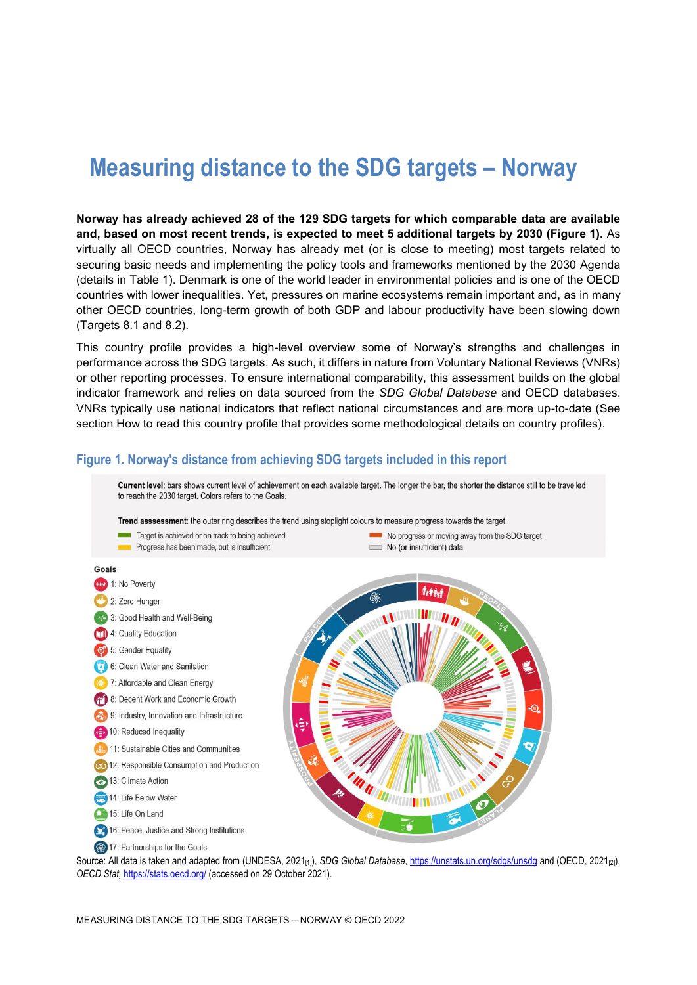# **Measuring distance to the SDG targets – Norway**

**Norway has already achieved 28 of the 129 SDG targets for which comparable data are available and, based on most recent trends, is expected to meet 5 additional targets by 2030 [\(Figure](#page-0-0) 1).** As virtually all OECD countries, Norway has already met (or is close to meeting) most targets related to securing basic needs and implementing the policy tools and frameworks mentioned by the 2030 Agenda (details in [Table](#page-3-0) 1). Denmark is one of the world leader in environmental policies and is one of the OECD countries with lower inequalities. Yet, pressures on marine ecosystems remain important and, as in many other OECD countries, long-term growth of both GDP and labour productivity have been slowing down (Targets 8.1 and 8.2).

This country profile provides a high-level overview some of Norway's strengths and challenges in performance across the SDG targets. As such, it differs in nature from Voluntary National Reviews (VNRs) or other reporting processes. To ensure international comparability, this assessment builds on the global indicator framework and relies on data sourced from the *SDG Global Database* and OECD databases. VNRs typically use national indicators that reflect national circumstances and are more up-to-date (See section [How to read this](#page-7-0) country profile that provides some methodological details on country profiles).

## <span id="page-0-0"></span>**Figure 1. Norway's distance from achieving SDG targets included in this report**



Source: All data is taken and adapted from (UNDESA, 2021<sub>[1]</sub>), *SDG Global Database*[, https://unstats.un.org/sdgs/unsdg](https://unstats.un.org/sdgs/unsdg) and (OECD, 2021<sub>[2]</sub>), *OECD.Stat,* <https://stats.oecd.org/> (accessed on 29 October 2021).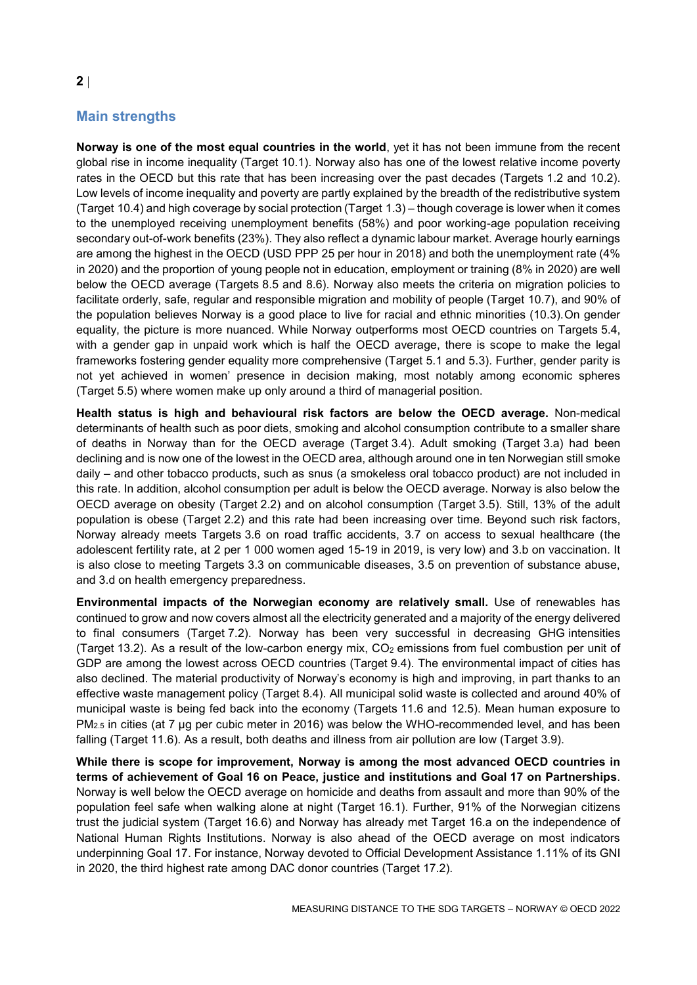# **Main strengths**

**Norway is one of the most equal countries in the world**, yet it has not been immune from the recent global rise in income inequality (Target 10.1). Norway also has one of the lowest relative income poverty rates in the OECD but this rate that has been increasing over the past decades (Targets 1.2 and 10.2). Low levels of income inequality and poverty are partly explained by the breadth of the redistributive system (Target 10.4) and high coverage by social protection (Target 1.3) – though coverage is lower when it comes to the unemployed receiving unemployment benefits (58%) and poor working-age population receiving secondary out-of-work benefits (23%). They also reflect a dynamic labour market. Average hourly earnings are among the highest in the OECD (USD PPP 25 per hour in 2018) and both the unemployment rate (4% in 2020) and the proportion of young people not in education, employment or training (8% in 2020) are well below the OECD average (Targets 8.5 and 8.6). Norway also meets the criteria on migration policies to facilitate orderly, safe, regular and responsible migration and mobility of people (Target 10.7), and 90% of the population believes Norway is a good place to live for racial and ethnic minorities (10.3).On gender equality, the picture is more nuanced. While Norway outperforms most OECD countries on Targets 5.4, with a gender gap in unpaid work which is half the OECD average, there is scope to make the legal frameworks fostering gender equality more comprehensive (Target 5.1 and 5.3). Further, gender parity is not yet achieved in women' presence in decision making, most notably among economic spheres (Target 5.5) where women make up only around a third of managerial position.

**Health status is high and behavioural risk factors are below the OECD average.** Non-medical determinants of health such as poor diets, smoking and alcohol consumption contribute to a smaller share of deaths in Norway than for the OECD average (Target 3.4). Adult smoking (Target 3.a) had been declining and is now one of the lowest in the OECD area, although around one in ten Norwegian still smoke daily – and other tobacco products, such as snus (a smokeless oral tobacco product) are not included in this rate. In addition, alcohol consumption per adult is below the OECD average. Norway is also below the OECD average on obesity (Target 2.2) and on alcohol consumption (Target 3.5). Still, 13% of the adult population is obese (Target 2.2) and this rate had been increasing over time. Beyond such risk factors, Norway already meets Targets 3.6 on road traffic accidents, 3.7 on access to sexual healthcare (the adolescent fertility rate, at 2 per 1 000 women aged 15-19 in 2019, is very low) and 3.b on vaccination. It is also close to meeting Targets 3.3 on communicable diseases, 3.5 on prevention of substance abuse, and 3.d on health emergency preparedness.

**Environmental impacts of the Norwegian economy are relatively small.** Use of renewables has continued to grow and now covers almost all the electricity generated and a majority of the energy delivered to final consumers (Target 7.2). Norway has been very successful in decreasing GHG intensities (Target 13.2). As a result of the low-carbon energy mix,  $CO<sub>2</sub>$  emissions from fuel combustion per unit of GDP are among the lowest across OECD countries (Target 9.4). The environmental impact of cities has also declined. The material productivity of Norway's economy is high and improving, in part thanks to an effective waste management policy (Target 8.4). All municipal solid waste is collected and around 40% of municipal waste is being fed back into the economy (Targets 11.6 and 12.5). Mean human exposure to PM<sub>2.5</sub> in cities (at 7 µg per cubic meter in 2016) was below the WHO-recommended level, and has been falling (Target 11.6). As a result, both deaths and illness from air pollution are low (Target 3.9).

**While there is scope for improvement, Norway is among the most advanced OECD countries in terms of achievement of Goal 16 on Peace, justice and institutions and Goal 17 on Partnerships**. Norway is well below the OECD average on homicide and deaths from assault and more than 90% of the population feel safe when walking alone at night (Target 16.1). Further, 91% of the Norwegian citizens trust the judicial system (Target 16.6) and Norway has already met Target 16.a on the independence of National Human Rights Institutions. Norway is also ahead of the OECD average on most indicators underpinning Goal 17. For instance, Norway devoted to Official Development Assistance 1.11% of its GNI in 2020, the third highest rate among DAC donor countries (Target 17.2).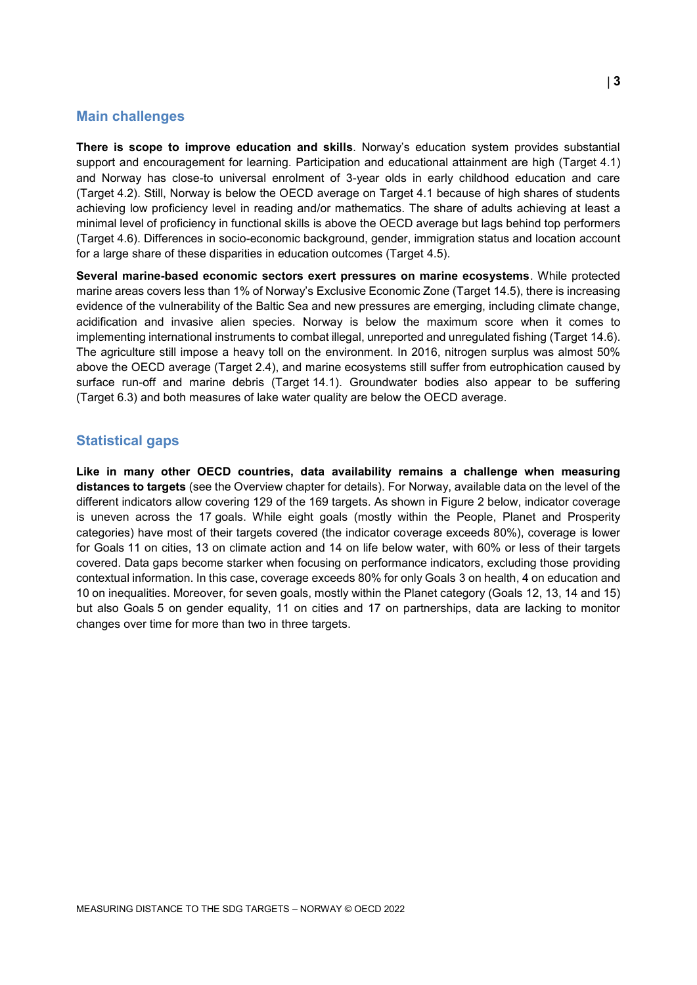#### **Main challenges**

**There is scope to improve education and skills**. Norway's education system provides substantial support and encouragement for learning. Participation and educational attainment are high (Target 4.1) and Norway has close-to universal enrolment of 3-year olds in early childhood education and care (Target 4.2). Still, Norway is below the OECD average on Target 4.1 because of high shares of students achieving low proficiency level in reading and/or mathematics. The share of adults achieving at least a minimal level of proficiency in functional skills is above the OECD average but lags behind top performers (Target 4.6). Differences in socio-economic background, gender, immigration status and location account for a large share of these disparities in education outcomes (Target 4.5).

**Several marine-based economic sectors exert pressures on marine ecosystems**. While protected marine areas covers less than 1% of Norway's Exclusive Economic Zone (Target 14.5), there is increasing evidence of the vulnerability of the Baltic Sea and new pressures are emerging, including climate change, acidification and invasive alien species. Norway is below the maximum score when it comes to implementing international instruments to combat illegal, unreported and unregulated fishing (Target 14.6). The agriculture still impose a heavy toll on the environment. In 2016, nitrogen surplus was almost 50% above the OECD average (Target 2.4), and marine ecosystems still suffer from eutrophication caused by surface run-off and marine debris (Target 14.1). Groundwater bodies also appear to be suffering (Target 6.3) and both measures of lake water quality are below the OECD average.

### **Statistical gaps**

**Like in many other OECD countries, data availability remains a challenge when measuring distances to targets** (see the Overview chapter for details). For Norway, available data on the level of the different indicators allow covering 129 of the 169 targets. As shown in [Figure](#page-3-1) 2 below, indicator coverage is uneven across the 17 goals. While eight goals (mostly within the People, Planet and Prosperity categories) have most of their targets covered (the indicator coverage exceeds 80%), coverage is lower for Goals 11 on cities, 13 on climate action and 14 on life below water, with 60% or less of their targets covered. Data gaps become starker when focusing on performance indicators, excluding those providing contextual information. In this case, coverage exceeds 80% for only Goals 3 on health, 4 on education and 10 on inequalities. Moreover, for seven goals, mostly within the Planet category (Goals 12, 13, 14 and 15) but also Goals 5 on gender equality, 11 on cities and 17 on partnerships, data are lacking to monitor changes over time for more than two in three targets.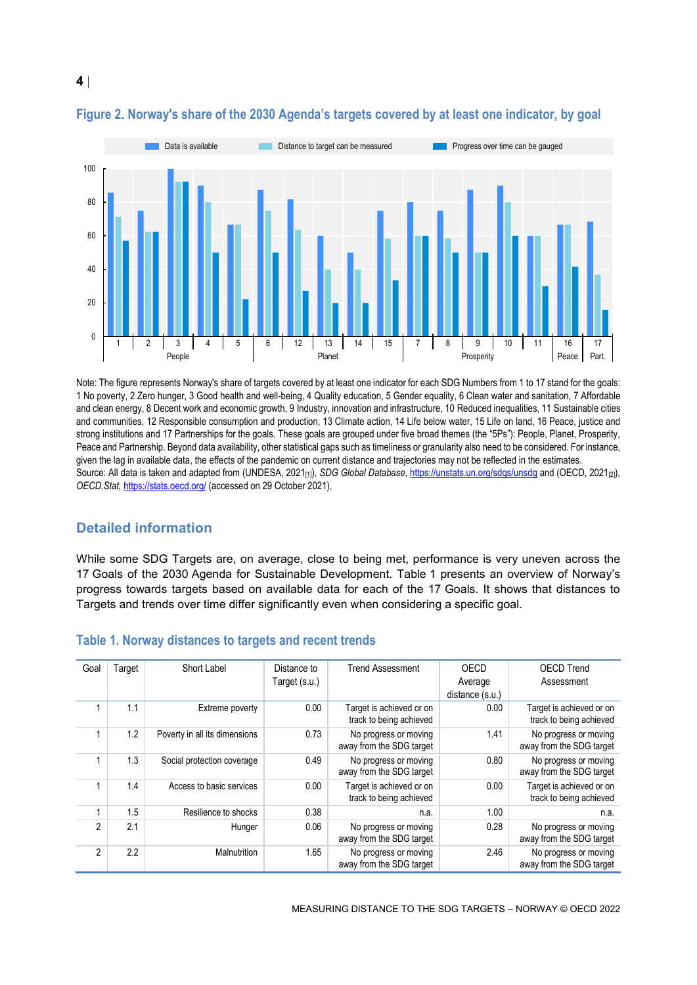

## <span id="page-3-1"></span>**Figure 2. Norway's share of the 2030 Agenda's targets covered by at least one indicator, by goal**

Note: The figure represents Norway's share of targets covered by at least one indicator for each SDG Numbers from 1 to 17 stand for the goals: 1 No poverty, 2 Zero hunger, 3 Good health and well-being, 4 Quality education, 5 Gender equality, 6 Clean water and sanitation, 7 Affordable and clean energy, 8 Decent work and economic growth, 9 Industry, innovation and infrastructure, 10 Reduced inequalities, 11 Sustainable cities and communities, 12 Responsible consumption and production, 13 Climate action, 14 Life below water, 15 Life on land, 16 Peace, justice and strong institutions and 17 Partnerships for the goals. These goals are grouped under five broad themes (the "5Ps"): People, Planet, Prosperity, Peace and Partnership. Beyond data availability, other statistical gaps such as timeliness or granularity also need to be considered. For instance, given the lag in available data, the effects of the pandemic on current distance and trajectories may not be reflected in the estimates. Source: All data is taken and adapted from (UNDESA, 2021<sub>[1]</sub>), *SDG Global Database*[, https://unstats.un.org/sdgs/unsdg](https://unstats.un.org/sdgs/unsdg) and (OECD, 2021<sub>[2]</sub>), *OECD.Stat,* <https://stats.oecd.org/> (accessed on 29 October 2021).

## **Detailed information**

While some SDG Targets are, on average, close to being met, performance is very uneven across the 17 Goals of the 2030 Agenda for Sustainable Development. [Table](#page-3-0) 1 presents an overview of Norway's progress towards targets based on available data for each of the 17 Goals. It shows that distances to Targets and trends over time differ significantly even when considering a specific goal.

| Goal           | Target | Short Label                   | Distance to   | <b>Trend Assessment</b>                             | OECD            | <b>OECD Trend</b>                                   |
|----------------|--------|-------------------------------|---------------|-----------------------------------------------------|-----------------|-----------------------------------------------------|
|                |        |                               | Target (s.u.) |                                                     | Average         | Assessment                                          |
|                |        |                               |               |                                                     | distance (s.u.) |                                                     |
|                | 1.1    | Extreme poverty               | 0.00          | Target is achieved or on<br>track to being achieved | 0.00            | Target is achieved or on<br>track to being achieved |
|                |        |                               |               |                                                     |                 |                                                     |
|                | 1.2    | Poverty in all its dimensions | 0.73          | No progress or moving<br>away from the SDG target   | 1.41            | No progress or moving<br>away from the SDG target   |
|                | 1.3    | Social protection coverage    | 0.49          | No progress or moving<br>away from the SDG target   | 0.80            | No progress or moving<br>away from the SDG target   |
|                | 1.4    | Access to basic services      | 0.00          | Target is achieved or on<br>track to being achieved | 0.00            | Target is achieved or on<br>track to being achieved |
|                | 1.5    | Resilience to shocks          | 0.38          | n.a.                                                | 1.00            | n.a.                                                |
| $\mathfrak{p}$ | 2.1    | Hunger                        | 0.06          | No progress or moving<br>away from the SDG target   | 0.28            | No progress or moving<br>away from the SDG target   |
| $\mathfrak{p}$ | 2.2    | Malnutrition                  | 1.65          | No progress or moving<br>away from the SDG target   | 2.46            | No progress or moving<br>away from the SDG target   |

#### <span id="page-3-0"></span>**Table 1. Norway distances to targets and recent trends**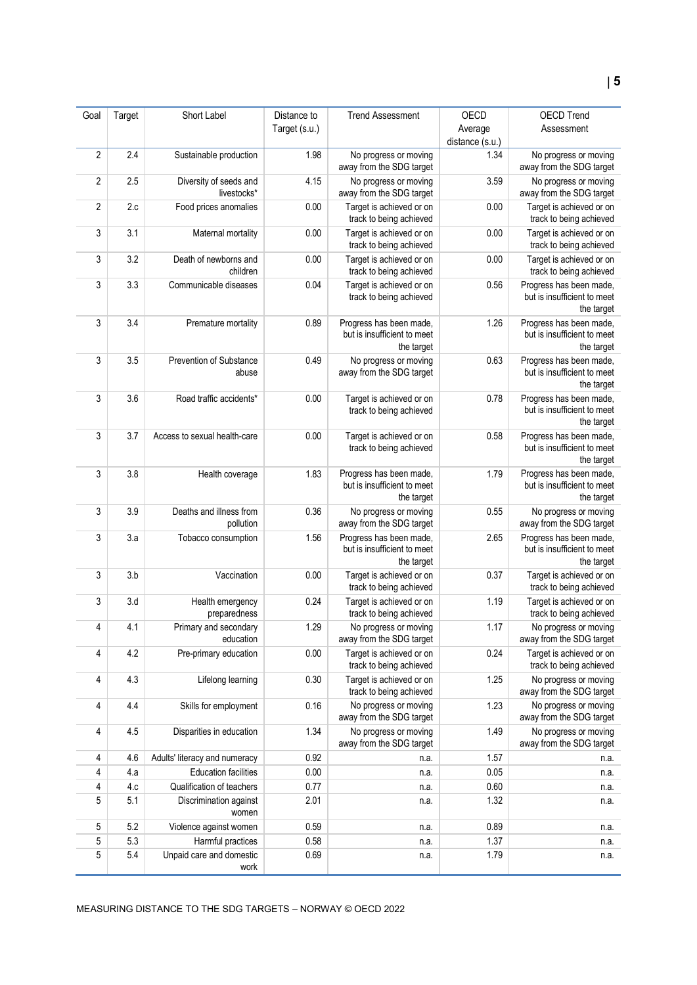| Goal       | Target     | Short Label                                           | Distance to   | <b>Trend Assessment</b>                                              | <b>OECD</b>     | OECD Trend                                                           |
|------------|------------|-------------------------------------------------------|---------------|----------------------------------------------------------------------|-----------------|----------------------------------------------------------------------|
|            |            |                                                       | Target (s.u.) |                                                                      | Average         | Assessment                                                           |
|            |            |                                                       |               |                                                                      | distance (s.u.) |                                                                      |
| $\sqrt{2}$ | 2.4        | Sustainable production                                | 1.98          | No progress or moving<br>away from the SDG target                    | 1.34            | No progress or moving<br>away from the SDG target                    |
| 2          | 2.5        | Diversity of seeds and<br>livestocks*                 | 4.15          | No progress or moving<br>away from the SDG target                    | 3.59            | No progress or moving<br>away from the SDG target                    |
| 2          | 2.c        | Food prices anomalies                                 | 0.00          | Target is achieved or on<br>track to being achieved                  | 0.00            | Target is achieved or on<br>track to being achieved                  |
| 3          | 3.1        | Maternal mortality                                    | 0.00          | Target is achieved or on<br>track to being achieved                  | 0.00            | Target is achieved or on<br>track to being achieved                  |
| 3          | 3.2        | Death of newborns and<br>children                     | 0.00          | Target is achieved or on<br>track to being achieved                  | 0.00            | Target is achieved or on<br>track to being achieved                  |
| 3          | 3.3        | Communicable diseases                                 | 0.04          | Target is achieved or on<br>track to being achieved                  | 0.56            | Progress has been made,<br>but is insufficient to meet<br>the target |
| 3          | 3.4        | Premature mortality                                   | 0.89          | Progress has been made,<br>but is insufficient to meet<br>the target | 1.26            | Progress has been made,<br>but is insufficient to meet<br>the target |
| 3          | 3.5        | Prevention of Substance<br>abuse                      | 0.49          | No progress or moving<br>away from the SDG target                    | 0.63            | Progress has been made,<br>but is insufficient to meet<br>the target |
| 3          | 3.6        | Road traffic accidents*                               | 0.00          | Target is achieved or on<br>track to being achieved                  | 0.78            | Progress has been made,<br>but is insufficient to meet<br>the target |
| 3          | 3.7        | Access to sexual health-care                          | 0.00          | Target is achieved or on<br>track to being achieved                  | 0.58            | Progress has been made,<br>but is insufficient to meet<br>the target |
| 3          | 3.8        | Health coverage                                       | 1.83          | Progress has been made,<br>but is insufficient to meet<br>the target | 1.79            | Progress has been made,<br>but is insufficient to meet<br>the target |
| 3          | 3.9        | Deaths and illness from<br>pollution                  | 0.36          | No progress or moving<br>away from the SDG target                    | 0.55            | No progress or moving<br>away from the SDG target                    |
| 3          | 3.a        | Tobacco consumption                                   | 1.56          | Progress has been made,<br>but is insufficient to meet<br>the target | 2.65            | Progress has been made,<br>but is insufficient to meet<br>the target |
| 3          | 3.b        | Vaccination                                           | 0.00          | Target is achieved or on<br>track to being achieved                  | 0.37            | Target is achieved or on<br>track to being achieved                  |
| 3          | 3.d        | Health emergency<br>preparedness                      | 0.24          | Target is achieved or on<br>track to being achieved                  | 1.19            | Target is achieved or on<br>track to being achieved                  |
| 4          | 4.1        | Primary and secondary<br>education                    | 1.29          | No progress or moving<br>away from the SDG target                    | 1.17            | No progress or moving<br>away from the SDG target                    |
| 4          | 4.2        | Pre-primary education                                 | 0.00          | Target is achieved or on<br>track to being achieved                  | 0.24            | Target is achieved or on<br>track to being achieved                  |
| 4          | 4.3        | Lifelong learning                                     | 0.30          | Target is achieved or on<br>track to being achieved                  | 1.25            | No progress or moving<br>away from the SDG target                    |
| 4          | 4.4        | Skills for employment                                 | 0.16          | No progress or moving<br>away from the SDG target                    | 1.23            | No progress or moving<br>away from the SDG target                    |
| 4          | 4.5        | Disparities in education                              | 1.34          | No progress or moving<br>away from the SDG target                    | 1.49            | No progress or moving<br>away from the SDG target                    |
| 4          | 4.6        | Adults' literacy and numeracy                         | 0.92          | n.a.                                                                 | 1.57            | n.a.                                                                 |
| 4          | 4.a        | <b>Education facilities</b>                           | 0.00          | n.a.                                                                 | 0.05            | n.a.                                                                 |
| 4          | 4.c        | Qualification of teachers                             | 0.77          | n.a.                                                                 | 0.60            | n.a.                                                                 |
| 5          | 5.1        | Discrimination against<br>women                       | 2.01          | n.a.                                                                 | 1.32            | n.a.                                                                 |
| 5          | 5.2        | Violence against women                                | 0.59          | n.a.                                                                 | 0.89            | n.a.                                                                 |
| 5<br>5     | 5.3<br>5.4 | Harmful practices<br>Unpaid care and domestic<br>work | 0.58<br>0.69  | n.a.<br>n.a.                                                         | 1.37<br>1.79    | n.a.<br>n.a.                                                         |
|            |            |                                                       |               |                                                                      |                 |                                                                      |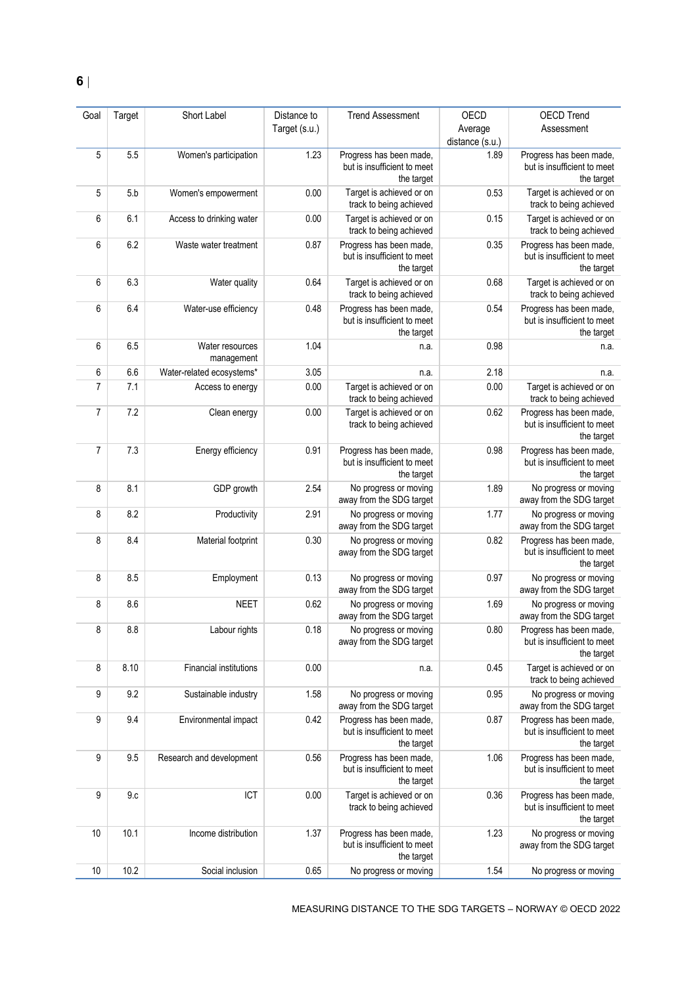| Goal           | Target | Short Label                   | Distance to   | <b>Trend Assessment</b>                                              | OECD                    | <b>OECD Trend</b>                                                    |
|----------------|--------|-------------------------------|---------------|----------------------------------------------------------------------|-------------------------|----------------------------------------------------------------------|
|                |        |                               | Target (s.u.) |                                                                      | Average                 | Assessment                                                           |
|                | 5.5    |                               | 1.23          | Progress has been made,                                              | distance (s.u.)<br>1.89 |                                                                      |
| 5              |        | Women's participation         |               | but is insufficient to meet<br>the target                            |                         | Progress has been made,<br>but is insufficient to meet<br>the target |
| 5              | 5.b    | Women's empowerment           | 0.00          | Target is achieved or on<br>track to being achieved                  | 0.53                    | Target is achieved or on<br>track to being achieved                  |
| 6              | 6.1    | Access to drinking water      | 0.00          | Target is achieved or on<br>track to being achieved                  | 0.15                    | Target is achieved or on<br>track to being achieved                  |
| 6              | 6.2    | Waste water treatment         | 0.87          | Progress has been made,<br>but is insufficient to meet<br>the target | 0.35                    | Progress has been made,<br>but is insufficient to meet<br>the target |
| 6              | 6.3    | Water quality                 | 0.64          | Target is achieved or on<br>track to being achieved                  | 0.68                    | Target is achieved or on<br>track to being achieved                  |
| 6              | 6.4    | Water-use efficiency          | 0.48          | Progress has been made,<br>but is insufficient to meet<br>the target | 0.54                    | Progress has been made,<br>but is insufficient to meet<br>the target |
| 6              | 6.5    | Water resources<br>management | 1.04          | n.a.                                                                 | 0.98                    | n.a.                                                                 |
| 6              | 6.6    | Water-related ecosystems*     | 3.05          | n.a.                                                                 | 2.18                    | n.a.                                                                 |
| 7              | 7.1    | Access to energy              | 0.00          | Target is achieved or on<br>track to being achieved                  | 0.00                    | Target is achieved or on<br>track to being achieved                  |
| 7              | 7.2    | Clean energy                  | 0.00          | Target is achieved or on<br>track to being achieved                  | 0.62                    | Progress has been made,<br>but is insufficient to meet<br>the target |
| $\overline{7}$ | 7.3    | Energy efficiency             | 0.91          | Progress has been made,<br>but is insufficient to meet<br>the target | 0.98                    | Progress has been made,<br>but is insufficient to meet<br>the target |
| 8              | 8.1    | GDP growth                    | 2.54          | No progress or moving<br>away from the SDG target                    | 1.89                    | No progress or moving<br>away from the SDG target                    |
| 8              | 8.2    | Productivity                  | 2.91          | No progress or moving<br>away from the SDG target                    | 1.77                    | No progress or moving<br>away from the SDG target                    |
| 8              | 8.4    | Material footprint            | 0.30          | No progress or moving<br>away from the SDG target                    | 0.82                    | Progress has been made,<br>but is insufficient to meet<br>the target |
| 8              | 8.5    | Employment                    | 0.13          | No progress or moving<br>away from the SDG target                    | 0.97                    | No progress or moving<br>away from the SDG target                    |
| 8              | 8.6    | <b>NEET</b>                   | 0.62          | No progress or moving<br>away from the SDG target                    | 1.69                    | No progress or moving<br>away from the SDG target                    |
| 8              | 8.8    | Labour rights                 | 0.18          | No progress or moving<br>away from the SDG target                    | 0.80                    | Progress has been made.<br>but is insufficient to meet<br>the target |
| 8              | 8.10   | Financial institutions        | 0.00          | n.a.                                                                 | 0.45                    | Target is achieved or on<br>track to being achieved                  |
| 9              | 9.2    | Sustainable industry          | 1.58          | No progress or moving<br>away from the SDG target                    | 0.95                    | No progress or moving<br>away from the SDG target                    |
| 9              | 9.4    | Environmental impact          | 0.42          | Progress has been made,<br>but is insufficient to meet<br>the target | 0.87                    | Progress has been made,<br>but is insufficient to meet<br>the target |
| 9              | 9.5    | Research and development      | 0.56          | Progress has been made,<br>but is insufficient to meet<br>the target | 1.06                    | Progress has been made,<br>but is insufficient to meet<br>the target |
| 9              | 9.c    | ICT                           | 0.00          | Target is achieved or on<br>track to being achieved                  | 0.36                    | Progress has been made,<br>but is insufficient to meet<br>the target |
| 10             | 10.1   | Income distribution           | 1.37          | Progress has been made,<br>but is insufficient to meet<br>the target | 1.23                    | No progress or moving<br>away from the SDG target                    |
| 10             | 10.2   | Social inclusion              | 0.65          | No progress or moving                                                | 1.54                    | No progress or moving                                                |

MEASURING DISTANCE TO THE SDG TARGETS – NORWAY © OECD 2022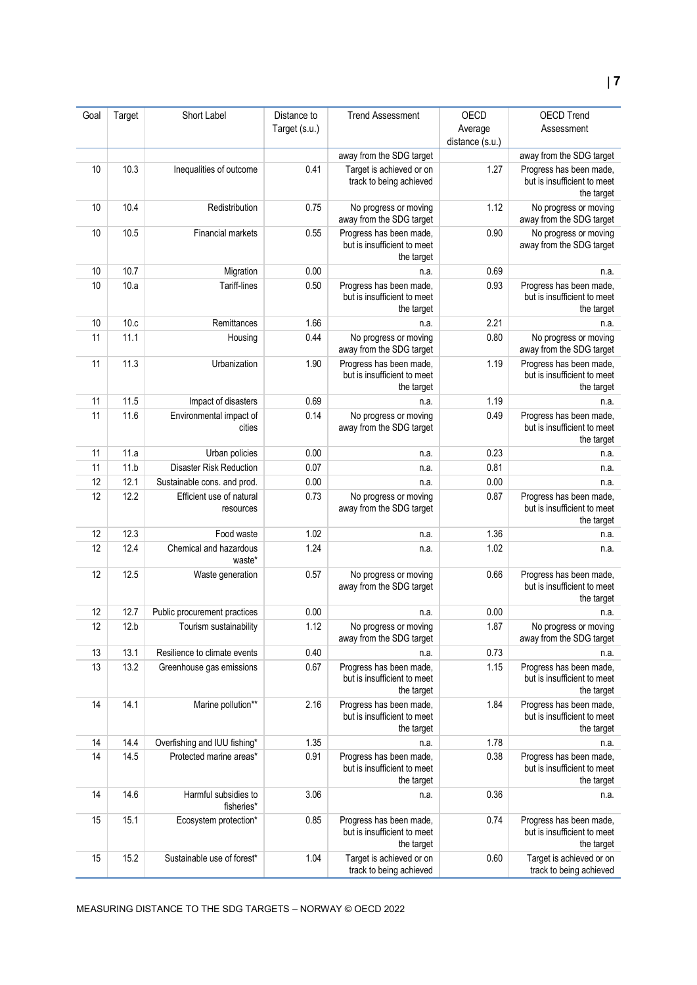| Goal | Target | Short Label                           | Distance to   | <b>Trend Assessment</b>                                              | OECD            | <b>OECD Trend</b>                                                    |
|------|--------|---------------------------------------|---------------|----------------------------------------------------------------------|-----------------|----------------------------------------------------------------------|
|      |        |                                       | Target (s.u.) |                                                                      | Average         | Assessment                                                           |
|      |        |                                       |               |                                                                      | distance (s.u.) |                                                                      |
|      |        |                                       |               | away from the SDG target                                             |                 | away from the SDG target                                             |
| 10   | 10.3   | Inequalities of outcome               | 0.41          | Target is achieved or on<br>track to being achieved                  | 1.27            | Progress has been made,<br>but is insufficient to meet<br>the target |
| 10   | 10.4   | Redistribution                        | 0.75          | No progress or moving<br>away from the SDG target                    | 1.12            | No progress or moving<br>away from the SDG target                    |
| 10   | 10.5   | Financial markets                     | 0.55          | Progress has been made,<br>but is insufficient to meet<br>the target | 0.90            | No progress or moving<br>away from the SDG target                    |
| 10   | 10.7   | Migration                             | 0.00          | n.a.                                                                 | 0.69            | n.a.                                                                 |
| 10   | 10.a   | Tariff-lines                          | 0.50          | Progress has been made,<br>but is insufficient to meet<br>the target | 0.93            | Progress has been made,<br>but is insufficient to meet<br>the target |
| 10   | 10.c   | Remittances                           | 1.66          | n.a.                                                                 | 2.21            | n.a.                                                                 |
| 11   | 11.1   | Housing                               | 0.44          | No progress or moving<br>away from the SDG target                    | 0.80            | No progress or moving<br>away from the SDG target                    |
| 11   | 11.3   | Urbanization                          | 1.90          | Progress has been made,<br>but is insufficient to meet<br>the target | 1.19            | Progress has been made,<br>but is insufficient to meet<br>the target |
| 11   | 11.5   | Impact of disasters                   | 0.69          | n.a.                                                                 | 1.19            | n.a.                                                                 |
| 11   | 11.6   | Environmental impact of<br>cities     | 0.14          | No progress or moving<br>away from the SDG target                    | 0.49            | Progress has been made,<br>but is insufficient to meet<br>the target |
| 11   | 11.a   | Urban policies                        | 0.00          | n.a.                                                                 | 0.23            | n.a.                                                                 |
| 11   | 11.b   | <b>Disaster Risk Reduction</b>        | 0.07          | n.a.                                                                 | 0.81            | n.a.                                                                 |
| 12   | 12.1   | Sustainable cons. and prod.           | 0.00          | n.a.                                                                 | 0.00            | n.a.                                                                 |
| 12   | 12.2   | Efficient use of natural<br>resources | 0.73          | No progress or moving<br>away from the SDG target                    | 0.87            | Progress has been made,<br>but is insufficient to meet<br>the target |
| 12   | 12.3   | Food waste                            | 1.02          | n.a.                                                                 | 1.36            | n.a.                                                                 |
| 12   | 12.4   | Chemical and hazardous<br>waste*      | 1.24          | n.a.                                                                 | 1.02            | n.a.                                                                 |
| 12   | 12.5   | Waste generation                      | 0.57          | No progress or moving<br>away from the SDG target                    | 0.66            | Progress has been made,<br>but is insufficient to meet<br>the target |
| 12   | 12.7   | Public procurement practices          | 0.00          | n.a.                                                                 | 0.00            | n.a.                                                                 |
| 12   | 12.b   | Tourism sustainability                | 1.12          | No progress or moving<br>away from the SDG target                    | 1.87            | No progress or moving<br>away from the SDG target                    |
| 13   | 13.1   | Resilience to climate events          | 0.40          | n.a.                                                                 | 0.73            | n.a.                                                                 |
| 13   | 13.2   | Greenhouse gas emissions              | 0.67          | Progress has been made,<br>but is insufficient to meet<br>the target | 1.15            | Progress has been made,<br>but is insufficient to meet<br>the target |
| 14   | 14.1   | Marine pollution**                    | 2.16          | Progress has been made,<br>but is insufficient to meet<br>the target | 1.84            | Progress has been made,<br>but is insufficient to meet<br>the target |
| 14   | 14.4   | Overfishing and IUU fishing*          | 1.35          | n.a.                                                                 | 1.78            | n.a.                                                                 |
| 14   | 14.5   | Protected marine areas*               | 0.91          | Progress has been made,<br>but is insufficient to meet<br>the target | 0.38            | Progress has been made,<br>but is insufficient to meet<br>the target |
| 14   | 14.6   | Harmful subsidies to<br>fisheries*    | 3.06          | n.a.                                                                 | 0.36            | n.a.                                                                 |
| 15   | 15.1   | Ecosystem protection*                 | 0.85          | Progress has been made,<br>but is insufficient to meet<br>the target | 0.74            | Progress has been made,<br>but is insufficient to meet<br>the target |
| 15   | 15.2   | Sustainable use of forest*            | 1.04          | Target is achieved or on<br>track to being achieved                  | 0.60            | Target is achieved or on<br>track to being achieved                  |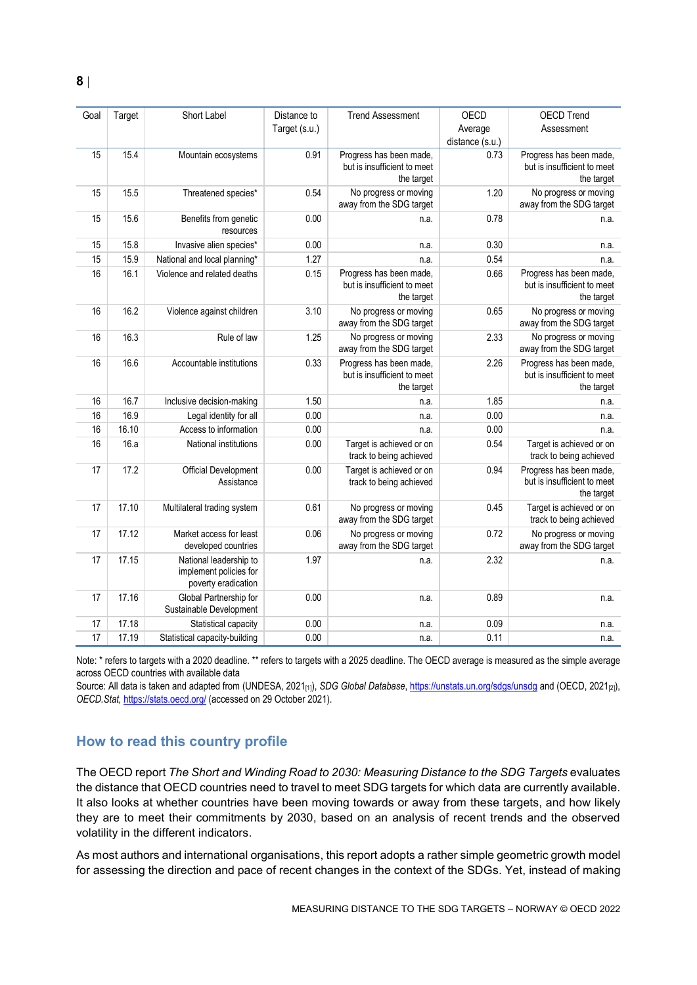| Goal | Target | Short Label                                                             | Distance to<br>Target (s.u.) | <b>Trend Assessment</b>                                              | <b>OECD</b><br>Average | <b>OECD Trend</b><br>Assessment                                      |
|------|--------|-------------------------------------------------------------------------|------------------------------|----------------------------------------------------------------------|------------------------|----------------------------------------------------------------------|
|      |        |                                                                         |                              |                                                                      | distance (s.u.)        |                                                                      |
| 15   | 15.4   | Mountain ecosystems                                                     | 0.91                         | Progress has been made,<br>but is insufficient to meet<br>the target | 0.73                   | Progress has been made,<br>but is insufficient to meet<br>the target |
| 15   | 15.5   | Threatened species*                                                     | 0.54                         | No progress or moving<br>away from the SDG target                    | 1.20                   | No progress or moving<br>away from the SDG target                    |
| 15   | 15.6   | Benefits from genetic<br>resources                                      | 0.00                         | n.a.                                                                 | 0.78                   | n.a.                                                                 |
| 15   | 15.8   | Invasive alien species*                                                 | 0.00                         | n.a.                                                                 | 0.30                   | n.a.                                                                 |
| 15   | 15.9   | National and local planning*                                            | 1.27                         | n.a.                                                                 | 0.54                   | n.a.                                                                 |
| 16   | 16.1   | Violence and related deaths                                             | 0.15                         | Progress has been made,<br>but is insufficient to meet<br>the target | 0.66                   | Progress has been made,<br>but is insufficient to meet<br>the target |
| 16   | 16.2   | Violence against children                                               | 3.10                         | No progress or moving<br>away from the SDG target                    | 0.65                   | No progress or moving<br>away from the SDG target                    |
| 16   | 16.3   | Rule of law                                                             | 1.25                         | No progress or moving<br>away from the SDG target                    | 2.33                   | No progress or moving<br>away from the SDG target                    |
| 16   | 16.6   | Accountable institutions                                                | 0.33                         | Progress has been made,<br>but is insufficient to meet<br>the target | 2.26                   | Progress has been made,<br>but is insufficient to meet<br>the target |
| 16   | 16.7   | Inclusive decision-making                                               | 1.50                         | n.a.                                                                 | 1.85                   | n.a.                                                                 |
| 16   | 16.9   | Legal identity for all                                                  | 0.00                         | n.a.                                                                 | 0.00                   | n.a.                                                                 |
| 16   | 16.10  | Access to information                                                   | $0.00\,$                     | n.a.                                                                 | 0.00                   | n.a.                                                                 |
| 16   | 16.a   | National institutions                                                   | $0.00\,$                     | Target is achieved or on<br>track to being achieved                  | 0.54                   | Target is achieved or on<br>track to being achieved                  |
| 17   | 17.2   | <b>Official Development</b><br>Assistance                               | 0.00                         | Target is achieved or on<br>track to being achieved                  | 0.94                   | Progress has been made,<br>but is insufficient to meet<br>the target |
| 17   | 17.10  | Multilateral trading system                                             | 0.61                         | No progress or moving<br>away from the SDG target                    | 0.45                   | Target is achieved or on<br>track to being achieved                  |
| 17   | 17.12  | Market access for least<br>developed countries                          | 0.06                         | No progress or moving<br>away from the SDG target                    | 0.72                   | No progress or moving<br>away from the SDG target                    |
| 17   | 17.15  | National leadership to<br>implement policies for<br>poverty eradication | 1.97                         | n.a.                                                                 | 2.32                   | n.a.                                                                 |
| 17   | 17.16  | Global Partnership for<br>Sustainable Development                       | 0.00                         | n.a.                                                                 | 0.89                   | n.a.                                                                 |
| 17   | 17.18  | Statistical capacity                                                    | 0.00                         | n.a.                                                                 | 0.09                   | n.a.                                                                 |
| 17   | 17.19  | Statistical capacity-building                                           | 0.00                         | n.a.                                                                 | 0.11                   | n.a.                                                                 |

Note: \* refers to targets with a 2020 deadline. \*\* refers to targets with a 2025 deadline. The OECD average is measured as the simple average across OECD countries with available data

Source: All data is taken and adapted from (UNDESA, 2021<sub>[1]</sub>), *SDG Global Database*[, https://unstats.un.org/sdgs/unsdg](https://unstats.un.org/sdgs/unsdg) and (OECD, 2021<sub>[2]</sub>), *OECD.Stat,* <https://stats.oecd.org/> (accessed on 29 October 2021).

## <span id="page-7-0"></span>**How to read this country profile**

The OECD report *The Short and Winding Road to 2030: Measuring Distance to the SDG Targets* evaluates the distance that OECD countries need to travel to meet SDG targets for which data are currently available. It also looks at whether countries have been moving towards or away from these targets, and how likely they are to meet their commitments by 2030, based on an analysis of recent trends and the observed volatility in the different indicators.

As most authors and international organisations, this report adopts a rather simple geometric growth model for assessing the direction and pace of recent changes in the context of the SDGs. Yet, instead of making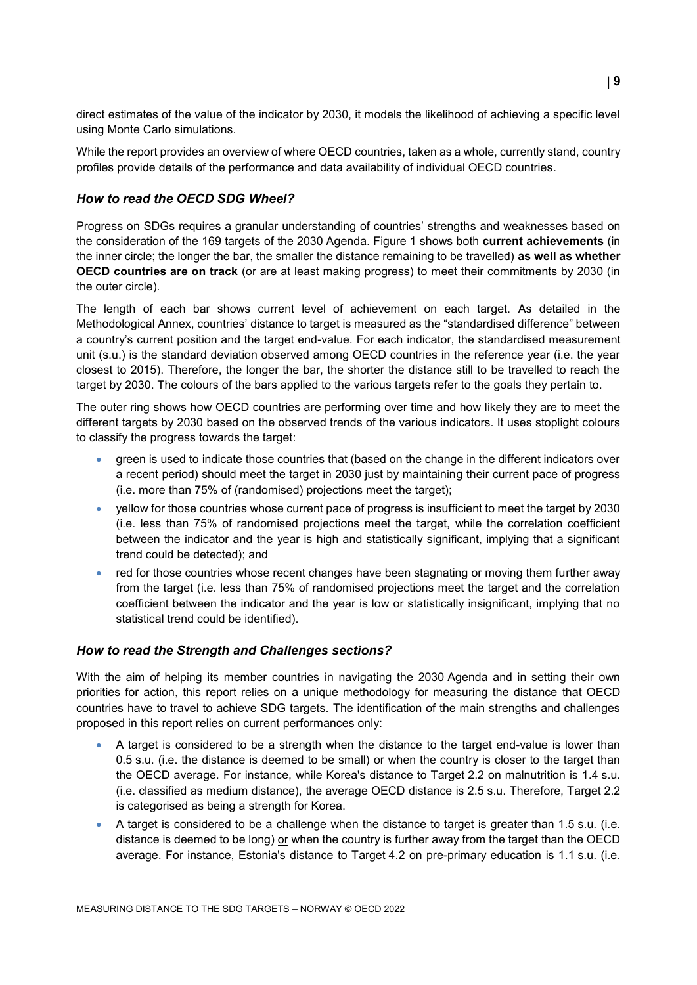direct estimates of the value of the indicator by 2030, it models the likelihood of achieving a specific level using Monte Carlo simulations.

While the report provides an overview of where OECD countries, taken as a whole, currently stand, country profiles provide details of the performance and data availability of individual OECD countries.

## *How to read the OECD SDG Wheel?*

Progress on SDGs requires a granular understanding of countries' strengths and weaknesses based on the consideration of the 169 targets of the 2030 Agenda. [Figure](#page-0-0) 1 shows both **current achievements** (in the inner circle; the longer the bar, the smaller the distance remaining to be travelled) **as well as whether OECD countries are on track** (or are at least making progress) to meet their commitments by 2030 (in the outer circle).

The length of each bar shows current level of achievement on each target. As detailed in the Methodological Annex, countries' distance to target is measured as the "standardised difference" between a country's current position and the target end-value. For each indicator, the standardised measurement unit (s.u.) is the standard deviation observed among OECD countries in the reference year (i.e. the year closest to 2015). Therefore, the longer the bar, the shorter the distance still to be travelled to reach the target by 2030. The colours of the bars applied to the various targets refer to the goals they pertain to.

The outer ring shows how OECD countries are performing over time and how likely they are to meet the different targets by 2030 based on the observed trends of the various indicators. It uses stoplight colours to classify the progress towards the target:

- green is used to indicate those countries that (based on the change in the different indicators over a recent period) should meet the target in 2030 just by maintaining their current pace of progress (i.e. more than 75% of (randomised) projections meet the target);
- yellow for those countries whose current pace of progress is insufficient to meet the target by 2030 (i.e. less than 75% of randomised projections meet the target, while the correlation coefficient between the indicator and the year is high and statistically significant, implying that a significant trend could be detected); and
- red for those countries whose recent changes have been stagnating or moving them further away from the target (i.e. less than 75% of randomised projections meet the target and the correlation coefficient between the indicator and the year is low or statistically insignificant, implying that no statistical trend could be identified).

## *How to read the Strength and Challenges sections?*

With the aim of helping its member countries in navigating the 2030 Agenda and in setting their own priorities for action, this report relies on a unique methodology for measuring the distance that OECD countries have to travel to achieve SDG targets. The identification of the main strengths and challenges proposed in this report relies on current performances only:

- A target is considered to be a strength when the distance to the target end-value is lower than 0.5 s.u. (i.e. the distance is deemed to be small) or when the country is closer to the target than the OECD average. For instance, while Korea's distance to Target 2.2 on malnutrition is 1.4 s.u. (i.e. classified as medium distance), the average OECD distance is 2.5 s.u. Therefore, Target 2.2 is categorised as being a strength for Korea.
- A target is considered to be a challenge when the distance to target is greater than 1.5 s.u. (i.e. distance is deemed to be long) or when the country is further away from the target than the OECD average. For instance, Estonia's distance to Target 4.2 on pre-primary education is 1.1 s.u. (i.e.